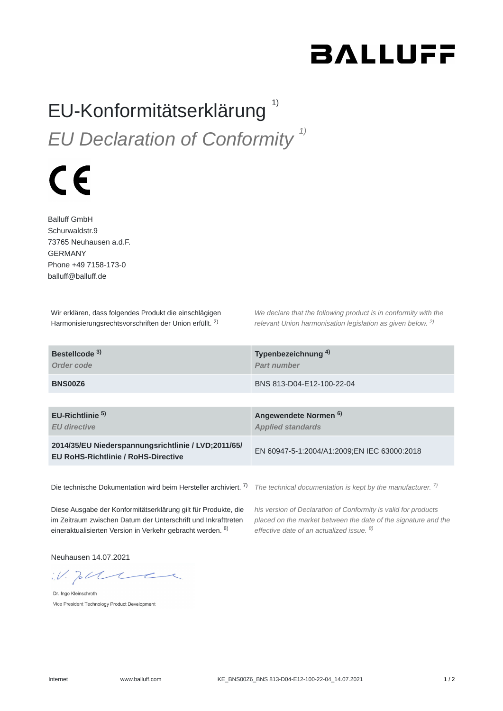## **BALLUFF**

## EU-Konformitätserklärung<sup>1)</sup> *EU Declaration of Conformity 1)*

## $\epsilon$

Balluff GmbH Schurwaldstr.9 73765 Neuhausen a.d.F. GERMANY Phone +49 7158-173-0 balluff@balluff.de

Wir erklären, dass folgendes Produkt die einschlägigen Harmonisierungsrechtsvorschriften der Union erfüllt. <sup>2)</sup>

*We declare that the following product is in conformity with the relevant Union harmonisation legislation as given below.* 2) *2)*

| Bestellcode <sup>3)</sup><br>Order code                                                           | Typenbezeichnung <sup>4)</sup><br>Part number                |
|---------------------------------------------------------------------------------------------------|--------------------------------------------------------------|
| BNS00Z6                                                                                           | BNS 813-D04-E12-100-22-04                                    |
|                                                                                                   |                                                              |
| EU-Richtlinie <sup>5)</sup><br><b>EU</b> directive                                                | Angewendete Normen <sup>6)</sup><br><b>Applied standards</b> |
| 2014/35/EU Niederspannungsrichtlinie / LVD;2011/65/<br><b>EU RoHS-Richtlinie / RoHS-Directive</b> | EN 60947-5-1:2004/A1:2009;EN IEC 63000:2018                  |
|                                                                                                   |                                                              |

Die technische Dokumentation wird beim Hersteller archiviert. <sup>7)</sup> The technical documentation is kept by the manufacturer. <sup>7)</sup>

Diese Ausgabe der Konformitätserklärung gilt für Produkte, die im Zeitraum zwischen Datum der Unterschrift und Inkrafttreten eineraktualisierten Version in Verkehr gebracht werden. <sup>8)</sup>

*his version of Declaration of Conformity is valid for products placed on the market between the date of the signature and the effective date of an actualized issue. 8)*

Neuhausen 14.07.2021

 $W.$  To the

Dr. Ingo Kleinschroth Vice President Technology Product Development